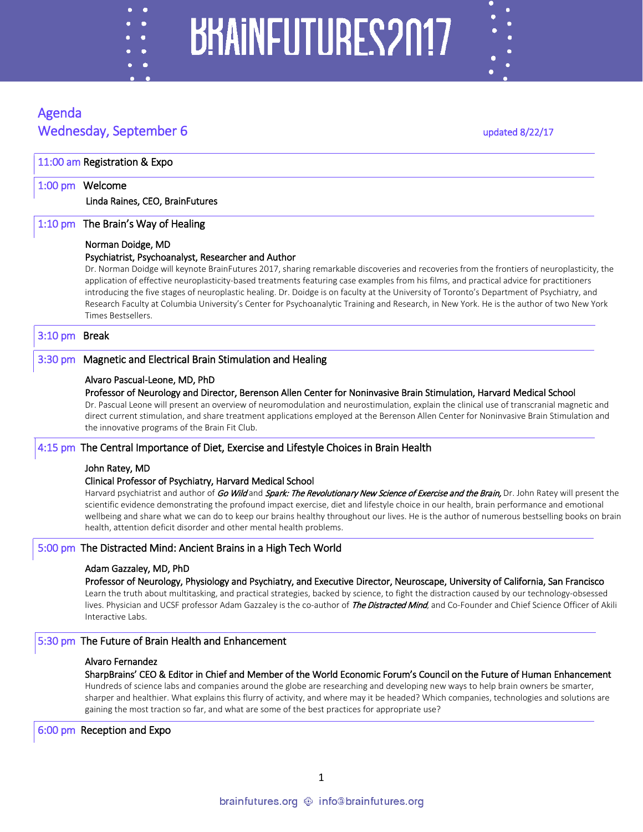## BRAINFUTURES2017

#### Agenda Wednesday, September 6 updated 8/22/17

٠

 $\ddot{\bullet}$ 

|               | 1:00 pm Welcome                                                                                                                                                                                                                                                                                                                                                                                                                                                                                                                                                                                        |
|---------------|--------------------------------------------------------------------------------------------------------------------------------------------------------------------------------------------------------------------------------------------------------------------------------------------------------------------------------------------------------------------------------------------------------------------------------------------------------------------------------------------------------------------------------------------------------------------------------------------------------|
|               | Linda Raines, CEO, BrainFutures                                                                                                                                                                                                                                                                                                                                                                                                                                                                                                                                                                        |
| $1:10$ pm     | The Brain's Way of Healing                                                                                                                                                                                                                                                                                                                                                                                                                                                                                                                                                                             |
|               | Norman Doidge, MD                                                                                                                                                                                                                                                                                                                                                                                                                                                                                                                                                                                      |
|               | Psychiatrist, Psychoanalyst, Researcher and Author                                                                                                                                                                                                                                                                                                                                                                                                                                                                                                                                                     |
|               | Dr. Norman Doidge will keynote BrainFutures 2017, sharing remarkable discoveries and recoveries from the frontiers of neuroplasticity, the<br>application of effective neuroplasticity-based treatments featuring case examples from his films, and practical advice for practitioners<br>introducing the five stages of neuroplastic healing. Dr. Doidge is on faculty at the University of Toronto's Department of Psychiatry, and<br>Research Faculty at Columbia University's Center for Psychoanalytic Training and Research, in New York. He is the author of two New York<br>Times Bestsellers. |
| 3:10 pm Break |                                                                                                                                                                                                                                                                                                                                                                                                                                                                                                                                                                                                        |
| $3:30$ pm     | Magnetic and Electrical Brain Stimulation and Healing                                                                                                                                                                                                                                                                                                                                                                                                                                                                                                                                                  |
|               | Alvaro Pascual-Leone, MD, PhD                                                                                                                                                                                                                                                                                                                                                                                                                                                                                                                                                                          |
|               | Professor of Neurology and Director, Berenson Allen Center for Noninvasive Brain Stimulation, Harvard Medical School<br>Dr. Pascual Leone will present an overview of neuromodulation and neurostimulation, explain the clinical use of transcranial magnetic and<br>direct current stimulation, and share treatment applications employed at the Berenson Allen Center for Noninvasive Brain Stimulation and<br>the innovative programs of the Brain Fit Club.                                                                                                                                        |
|               | 4:15 pm The Central Importance of Diet, Exercise and Lifestyle Choices in Brain Health                                                                                                                                                                                                                                                                                                                                                                                                                                                                                                                 |
|               | John Ratey, MD<br>Clinical Professor of Psychiatry, Harvard Medical School<br>Harvard psychiatrist and author of Go Wild and Spark: The Revolutionary New Science of Exercise and the Brain, Dr. John Ratey will present the<br>scientific evidence demonstrating the profound impact exercise, diet and lifestyle choice in our health, brain performance and emotional<br>wellbeing and share what we can do to keep our brains healthy throughout our lives. He is the author of numerous bestselling books on brain<br>health, attention deficit disorder and other mental health problems.        |
|               | 5:00 pm The Distracted Mind: Ancient Brains in a High Tech World                                                                                                                                                                                                                                                                                                                                                                                                                                                                                                                                       |
|               | Adam Gazzaley, MD, PhD                                                                                                                                                                                                                                                                                                                                                                                                                                                                                                                                                                                 |
|               | Professor of Neurology, Physiology and Psychiatry, and Executive Director, Neuroscape, University of California, San Francisco<br>Learn the truth about multitasking, and practical strategies, backed by science, to fight the distraction caused by our technology-obsessed<br>lives. Physician and UCSF professor Adam Gazzaley is the co-author of The Distracted Mind, and Co-Founder and Chief Science Officer of Akili<br>Interactive Labs.                                                                                                                                                     |
|               | 5:30 pm The Future of Brain Health and Enhancement                                                                                                                                                                                                                                                                                                                                                                                                                                                                                                                                                     |
|               | Alvaro Fernandez                                                                                                                                                                                                                                                                                                                                                                                                                                                                                                                                                                                       |
|               | SharpBrains' CEO & Editor in Chief and Member of the World Economic Forum's Council on the Future of Human Enhancement<br>Hundreds of science labs and companies around the globe are researching and developing new ways to help brain owners be smarter,<br>sharper and healthier. What explains this flurry of activity, and where may it be headed? Which companies, technologies and solutions are<br>gaining the most traction so far, and what are some of the best practices for appropriate use?                                                                                              |
|               | 6:00 pm Reception and Expo                                                                                                                                                                                                                                                                                                                                                                                                                                                                                                                                                                             |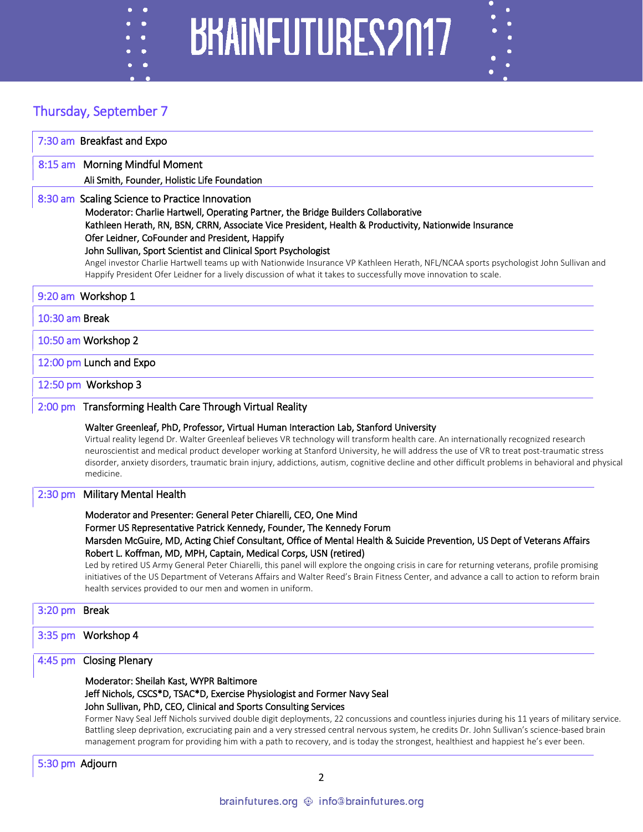# BHAINFUTURES2017

### Thursday, September 7

|                 | 7:30 am Breakfast and Expo                                                                                                                                                                                                                                                                                                                                                                                                                                                                                                                                                                                                      |
|-----------------|---------------------------------------------------------------------------------------------------------------------------------------------------------------------------------------------------------------------------------------------------------------------------------------------------------------------------------------------------------------------------------------------------------------------------------------------------------------------------------------------------------------------------------------------------------------------------------------------------------------------------------|
|                 | 8:15 am Morning Mindful Moment                                                                                                                                                                                                                                                                                                                                                                                                                                                                                                                                                                                                  |
|                 | Ali Smith, Founder, Holistic Life Foundation                                                                                                                                                                                                                                                                                                                                                                                                                                                                                                                                                                                    |
|                 | 8:30 am Scaling Science to Practice Innovation<br>Moderator: Charlie Hartwell, Operating Partner, the Bridge Builders Collaborative<br>Kathleen Herath, RN, BSN, CRRN, Associate Vice President, Health & Productivity, Nationwide Insurance<br>Ofer Leidner, CoFounder and President, Happify<br>John Sullivan, Sport Scientist and Clinical Sport Psychologist<br>Angel investor Charlie Hartwell teams up with Nationwide Insurance VP Kathleen Herath, NFL/NCAA sports psychologist John Sullivan and                                                                                                                       |
|                 | Happify President Ofer Leidner for a lively discussion of what it takes to successfully move innovation to scale.                                                                                                                                                                                                                                                                                                                                                                                                                                                                                                               |
|                 | 9:20 am Workshop 1                                                                                                                                                                                                                                                                                                                                                                                                                                                                                                                                                                                                              |
| 10:30 am Break  |                                                                                                                                                                                                                                                                                                                                                                                                                                                                                                                                                                                                                                 |
|                 | 10:50 am Workshop 2                                                                                                                                                                                                                                                                                                                                                                                                                                                                                                                                                                                                             |
|                 | 12:00 pm Lunch and Expo                                                                                                                                                                                                                                                                                                                                                                                                                                                                                                                                                                                                         |
|                 | 12:50 pm Workshop 3                                                                                                                                                                                                                                                                                                                                                                                                                                                                                                                                                                                                             |
|                 | 2:00 pm Transforming Health Care Through Virtual Reality                                                                                                                                                                                                                                                                                                                                                                                                                                                                                                                                                                        |
|                 | Walter Greenleaf, PhD, Professor, Virtual Human Interaction Lab, Stanford University<br>Virtual reality legend Dr. Walter Greenleaf believes VR technology will transform health care. An internationally recognized research<br>neuroscientist and medical product developer working at Stanford University, he will address the use of VR to treat post-traumatic stress<br>disorder, anxiety disorders, traumatic brain injury, addictions, autism, cognitive decline and other difficult problems in behavioral and physical<br>medicine.                                                                                   |
| $2:30$ pm       | <b>Military Mental Health</b>                                                                                                                                                                                                                                                                                                                                                                                                                                                                                                                                                                                                   |
|                 | Moderator and Presenter: General Peter Chiarelli, CEO, One Mind                                                                                                                                                                                                                                                                                                                                                                                                                                                                                                                                                                 |
|                 | Former US Representative Patrick Kennedy, Founder, The Kennedy Forum<br>Marsden McGuire, MD, Acting Chief Consultant, Office of Mental Health & Suicide Prevention, US Dept of Veterans Affairs<br>Robert L. Koffman, MD, MPH, Captain, Medical Corps, USN (retired)                                                                                                                                                                                                                                                                                                                                                            |
|                 | Led by retired US Army General Peter Chiarelli, this panel will explore the ongoing crisis in care for returning veterans, profile promising<br>initiatives of the US Department of Veterans Affairs and Walter Reed's Brain Fitness Center, and advance a call to action to reform brain<br>health services provided to our men and women in uniform.                                                                                                                                                                                                                                                                          |
| 3:20 pm Break   |                                                                                                                                                                                                                                                                                                                                                                                                                                                                                                                                                                                                                                 |
|                 | 3:35 pm Workshop 4                                                                                                                                                                                                                                                                                                                                                                                                                                                                                                                                                                                                              |
|                 | 4:45 pm Closing Plenary                                                                                                                                                                                                                                                                                                                                                                                                                                                                                                                                                                                                         |
|                 | Moderator: Sheilah Kast, WYPR Baltimore<br>Jeff Nichols, CSCS*D, TSAC*D, Exercise Physiologist and Former Navy Seal<br>John Sullivan, PhD, CEO, Clinical and Sports Consulting Services<br>Former Navy Seal Jeff Nichols survived double digit deployments, 22 concussions and countless injuries during his 11 years of military service.<br>Battling sleep deprivation, excruciating pain and a very stressed central nervous system, he credits Dr. John Sullivan's science-based brain<br>management program for providing him with a path to recovery, and is today the strongest, healthiest and happiest he's ever been. |
| 5:30 pm Adjourn |                                                                                                                                                                                                                                                                                                                                                                                                                                                                                                                                                                                                                                 |
|                 | 2                                                                                                                                                                                                                                                                                                                                                                                                                                                                                                                                                                                                                               |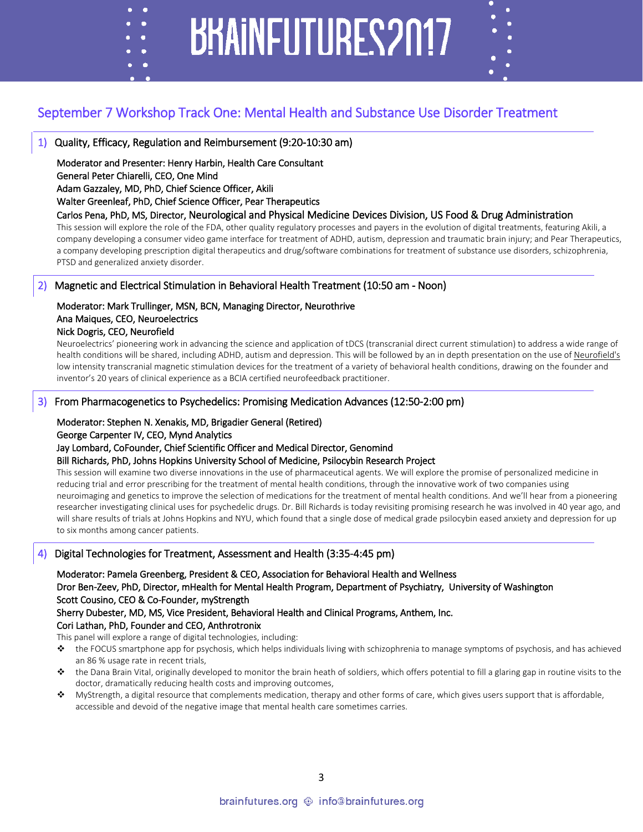#### September 7 Workshop Track One: Mental Health and Substance Use Disorder Treatment

**BHAINFUTURES2017** 

#### 1) Quality, Efficacy, Regulation and Reimbursement (9:20-10:30 am)

Moderator and Presenter: Henry Harbin, Health Care Consultant General Peter Chiarelli, CEO, One Mind Adam Gazzaley, MD, PhD, Chief Science Officer, Akili

#### Walter Greenleaf, PhD, Chief Science Officer, Pear Therapeutics

#### Carlos Pena, PhD, MS, Director, Neurological and Physical Medicine Devices Division, US Food & Drug Administration

This session will explore the role of the FDA, other quality regulatory processes and payers in the evolution of digital treatments, featuring Akili, a company developing a consumer video game interface for treatment of ADHD, autism, depression and traumatic brain injury; and Pear Therapeutics, a company developing prescription digital therapeutics and drug/software combinations for treatment of substance use disorders, schizophrenia, PTSD and generalized anxiety disorder.

#### 2) Magnetic and Electrical Stimulation in Behavioral Health Treatment (10:50 am - Noon)

#### Moderator: Mark Trullinger, MSN, BCN, Managing Director, Neurothrive Ana Maiques, CEO, Neuroelectrics

#### Nick Dogris, CEO, Neurofield

c ٠

Neuroelectrics' pioneering work in advancing the science and application of tDCS (transcranial direct current stimulation) to address a wide range of health conditions will be shared, including ADHD, autism and depression. This will be followed by an in depth presentation on the use of Neurofield's low intensity transcranial magnetic stimulation devices for the treatment of a variety of behavioral health conditions, drawing on the founder and inventor's 20 years of clinical experience as a BCIA certified neurofeedback practitioner.

#### 3) From Pharmacogenetics to Psychedelics: Promising Medication Advances (12:50-2:00 pm)

#### Moderator: Stephen N. Xenakis, MD, Brigadier General (Retired)

#### George Carpenter IV, CEO, Mynd Analytics

Jay Lombard, CoFounder, Chief Scientific Officer and Medical Director, Genomind

#### Bill Richards, PhD, Johns Hopkins University School of Medicine, Psilocybin Research Project

This session will examine two diverse innovations in the use of pharmaceutical agents. We will explore the promise of personalized medicine in reducing trial and error prescribing for the treatment of mental health conditions, through the innovative work of two companies using neuroimaging and genetics to improve the selection of medications for the treatment of mental health conditions. And we'll hear from a pioneering researcher investigating clinical uses for psychedelic drugs. Dr. Bill Richards is today revisiting promising research he was involved in 40 year ago, and will share results of trials at Johns Hopkins and NYU, which found that a single dose of medical grade psilocybin eased anxiety and depression for up to six months among cancer patients.

#### 4) Digital Technologies for Treatment, Assessment and Health (3:35-4:45 pm)

Moderator: Pamela Greenberg, President & CEO, Association for Behavioral Health and Wellness Dror Ben-Zeev, PhD, Director, mHealth for Mental Health Program, Department of Psychiatry, University of Washington

Scott Cousino, CEO & Co-Founder, myStrength

Sherry Dubester, MD, MS, Vice President, Behavioral Health and Clinical Programs, Anthem, Inc. Cori Lathan, PhD, Founder and CEO, Anthrotronix

This panel will explore a range of digital technologies, including:

- $\bullet$  the FOCUS smartphone app for psychosis, which helps individuals living with schizophrenia to manage symptoms of psychosis, and has achieved an 86 % usage rate in recent trials,
- $\clubsuit$  the Dana Brain Vital, originally developed to monitor the brain heath of soldiers, which offers potential to fill a glaring gap in routine visits to the doctor, dramatically reducing health costs and improving outcomes,
- MyStrength, a digital resource that complements medication, therapy and other forms of care, which gives users support that is affordable, accessible and devoid of the negative image that mental health care sometimes carries.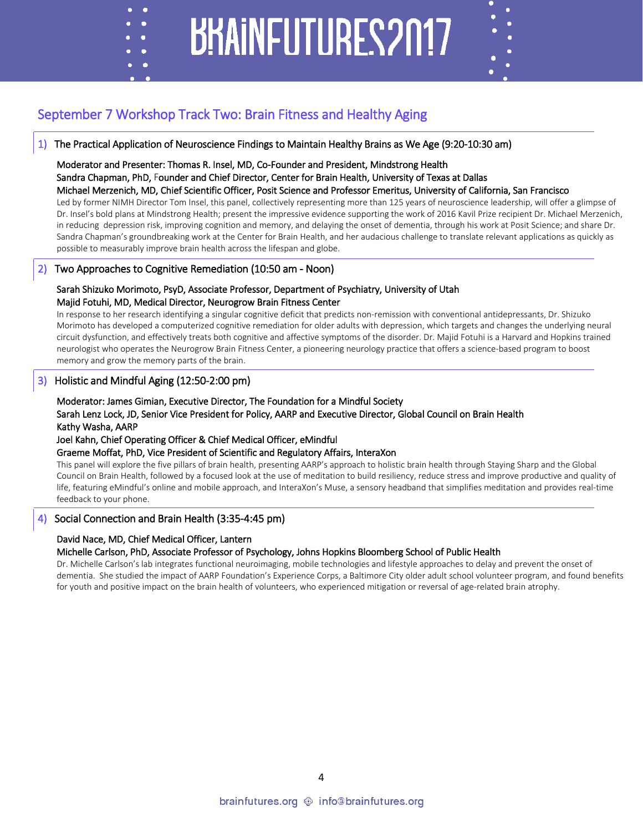### **BHAINFUTURES2017**

#### September 7 Workshop Track Two: Brain Fitness and Healthy Aging

#### 1) The Practical Application of Neuroscience Findings to Maintain Healthy Brains as We Age (9:20-10:30 am)

#### Moderator and Presenter: Thomas R. Insel, MD, Co-Founder and President, Mindstrong Health

#### Sandra Chapman, PhD, Founder and Chief Director, Center for Brain Health, University of Texas at Dallas

#### Michael Merzenich, MD, Chief Scientific Officer, Posit Science and Professor Emeritus, University of California, San Francisco

Led by former NIMH Director Tom Insel, this panel, collectively representing more than 125 years of neuroscience leadership, will offer a glimpse of Dr. Insel's bold plans at Mindstrong Health; present the impressive evidence supporting the work of 2016 Kavil Prize recipient Dr. Michael Merzenich, in reducing depression risk, improving cognition and memory, and delaying the onset of dementia, through his work at Posit Science; and share Dr. Sandra Chapman's groundbreaking work at the Center for Brain Health, and her audacious challenge to translate relevant applications as quickly as possible to measurably improve brain health across the lifespan and globe.

#### 2) Two Approaches to Cognitive Remediation (10:50 am - Noon)

#### Sarah Shizuko Morimoto, PsyD, Associate Professor, Department of Psychiatry, University of Utah Majid Fotuhi, MD, Medical Director, Neurogrow Brain Fitness Center

In response to her research identifying a singular cognitive deficit that predicts non-remission with conventional antidepressants, Dr. Shizuko Morimoto has developed a computerized cognitive remediation for older adults with depression, which targets and changes the underlying neural circuit dysfunction, and effectively treats both cognitive and affective symptoms of the disorder. Dr. Majid Fotuhi is a Harvard and Hopkins trained neurologist who operates the Neurogrow Brain Fitness Center, a pioneering neurology practice that offers a science-based program to boost memory and grow the memory parts of the brain.

#### 3) Holistic and Mindful Aging (12:50-2:00 pm)

c ٠

#### Moderator: James Gimian, Executive Director, The Foundation for a Mindful Society Sarah Lenz Lock, JD, Senior Vice President for Policy, AARP and Executive Director, Global Council on Brain Health Kathy Washa, AARP

#### Joel Kahn, Chief Operating Officer & Chief Medical Officer, eMindful

#### Graeme Moffat, PhD, Vice President of Scientific and Regulatory Affairs, InteraXon

This panel will explore the five pillars of brain health, presenting AARP's approach to holistic brain health through Staying Sharp and the Global Council on Brain Health, followed by a focused look at the use of meditation to build resiliency, reduce stress and improve productive and quality of life, featuring eMindful's online and mobile approach, and InteraXon's Muse, a sensory headband that simplifies meditation and provides real-time feedback to your phone.

#### 4) Social Connection and Brain Health (3:35-4:45 pm)

#### David Nace, MD, Chief Medical Officer, Lantern

#### Michelle Carlson, PhD, Associate Professor of Psychology, Johns Hopkins Bloomberg School of Public Health

Dr. Michelle Carlson's lab integrates functional neuroimaging, mobile technologies and lifestyle approaches to delay and prevent the onset of dementia. She studied the impact of AARP Foundation's Experience Corps, a Baltimore City older adult school volunteer program, and found benefits for youth and positive impact on the brain health of volunteers, who experienced mitigation or reversal of age-related brain atrophy.